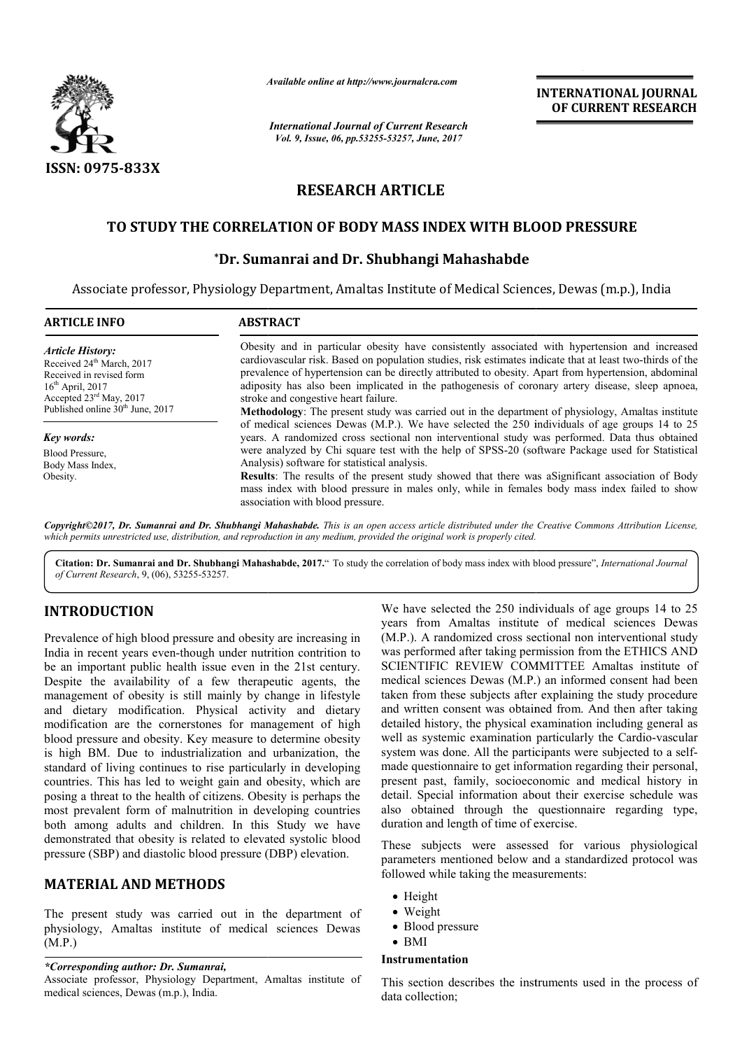

*Available online at http://www.journal http://www.journalcra.com*

*International Journal of Current Research Vol. 9, Issue, 06, pp.53255-53257, June, 2017*

**INTERNATIONAL JOURNAL OF CURRENT RESEARCH** 

# **RESEARCH ARTICLE**

## TO STUDY THE CORRELATION OF BODY MASS INDEX WITH BLOOD PRESSURE

## **\*Dr. Sumanrai and Dr. Shubhangi Mahashabde**

Associate professor, Physiology Department, Amaltas Institute of Medical Sciences, Dewas (m.p.), India

| <b>ARTICLE INFO</b>                                                                                                                                       | <b>ABSTRACT</b>                                                                                                                                                                                                                                                                                                                                                                                                                                                 |  |
|-----------------------------------------------------------------------------------------------------------------------------------------------------------|-----------------------------------------------------------------------------------------------------------------------------------------------------------------------------------------------------------------------------------------------------------------------------------------------------------------------------------------------------------------------------------------------------------------------------------------------------------------|--|
| <b>Article History:</b><br>Received 24 <sup>th</sup> March, 2017<br>Received in revised form<br>$16th$ April, 2017<br>Accepted $23^{\text{rd}}$ May, 2017 | Obesity and in particular obesity have consistently associated with hypertension and increased<br>cardiovascular risk. Based on population studies, risk estimates indicate that at least two-thirds of the<br>prevalence of hypertension can be directly attributed to obesity. Apart from hypertension, abdominal<br>adiposity has also been implicated in the pathogenesis of coronary artery disease, sleep apnoea,<br>stroke and congestive heart failure. |  |
| Published online 30 <sup>th</sup> June, 2017                                                                                                              | <b>Methodology</b> : The present study was carried out in the department of physiology, Amaltas institute<br>of medical sciences Dewas (M.P.). We have selected the 250 individuals of age groups 14 to 25                                                                                                                                                                                                                                                      |  |
| Key words:                                                                                                                                                | years. A randomized cross sectional non interventional study was performed. Data thus obtained                                                                                                                                                                                                                                                                                                                                                                  |  |
| Blood Pressure.<br>Body Mass Index,                                                                                                                       | were analyzed by Chi square test with the help of SPSS-20 (software Package used for Statistical<br>Analysis) software for statistical analysis.                                                                                                                                                                                                                                                                                                                |  |
| Obesity.                                                                                                                                                  | <b>Results:</b> The results of the present study showed that there was a Significant association of Body<br>mass index with blood pressure in males only, while in females body mass index failed to show<br>association with blood pressure.                                                                                                                                                                                                                   |  |

*Copyright©2017, Dr. Sumanrai and Dr. Shubhangi Mahashabde Mahashabde. This is an open access article distributed under the Creative distributed Creative Commons Attribution License,*  which permits unrestricted use, distribution, and reproduction in any medium, provided the original work is properly cited.

**Citation: Dr. Sumanrai and Dr. Shubhangi Mahashabde, 2017.** To study the correlation of body mass index with blood pressure", *International Journal of Current Research*, 9, (06), 53255-53257.

## **INTRODUCTION**

Prevalence of high blood pressure and obesity are increasing in India in recent years even-though under nutrition contrition to be an important public health issue even in the 21st century. Despite the availability of a few therapeutic agents, the management of obesity is still mainly by change in lifestyle and dietary modification. Physical activity a and dietary modification are the cornerstones for management of high blood pressure and obesity. Key measure to determine obesity is high BM. Due to industrialization and urbanization, the standard of living continues to rise particularly in developing countries. This has led to weight gain and obesity, which are posing a threat to the health of citizens. Obesity is perhaps the most prevalent form of malnutrition in developing countries both among adults and children. In this Study we have demonstrated that obesity is related to elevated systolic blood pressure (SBP) and diastolic blood pressure (DBP) elevation.

### **MATERIAL AND METHODS**

The present study was carried out in the department of physiology, Amaltas institute of medical sciences Dewas (M.P.)

### *\*Corresponding author: Dr. Sumanrai,*

Associate professor, Physiology Department, Amaltas institute of medical sciences, Dewas (m.p.), India.

**RODUCTION**<br>
We have selected the 250 individuals of age groups 14 to 25<br>
years from Amaltas institute of medical sciences Dewas<br>
in recent years even-though under nutrition contrition to<br>
was performed after taking permis We have selected the 250 individuals of age groups 14 to 25 years from Amaltas institute of medical sciences Dewas (M.P.). A randomized cross sectional non interventional study was performed after taking permission from the ETHICS AND SCIENTIFIC REVIEW COMMITTEE Amaltas institute of medical sciences Dewas (M.P.) an informed consent had been taken from these subjects after explaining the study procedure and written consent was obtained from. And then after taking detailed history, the physical examination including general as well as systemic examination particularly the Cardio-vascular system was done. All the participants were subjected to a selfmade questionnaire to get information regarding their personal, present past, family, socioeconomic and medical history in detail. Special information about their exercise schedule was also obtained through the questionnaire regarding type, duration and length of time of exercise. (M.P.). A randomized cross sectional non interventional study was performed after taking permission from the ETHICS AND SCIENTIFIC REVIEW COMMITTEE Amaltas institute of medical sciences Dewas (M.P.) an informed consent had questionnaire to get information regarding their personal, it past, family, socioeconomic and medical history in Special information about their exercise schedule was obtained through the questionnaire regarding type, INTERNATIONAL JOURNAL<br>
Cent Research<br>
CENT EXECURENT RESEARCH<br>
CENT ENGATION<br>
CONDITIENT CONDITIENT CONDITIENT CONDITIENT CONDITIENT<br>
CITLE<br>
TICLE<br>
TICLE<br>
SINDEX WITH BLOOD PRESSURE<br>
CONDITIENT IS SIMURE AND THE BLOOD PRES

These subjects were assessed for various physiological parameters mentioned below and a standardized protocol was followed while taking the measurements:

- Height
- Weight
- Blood pressure
- BMI

### **Instrumentation**

This section describes the instruments used in the process of data collection;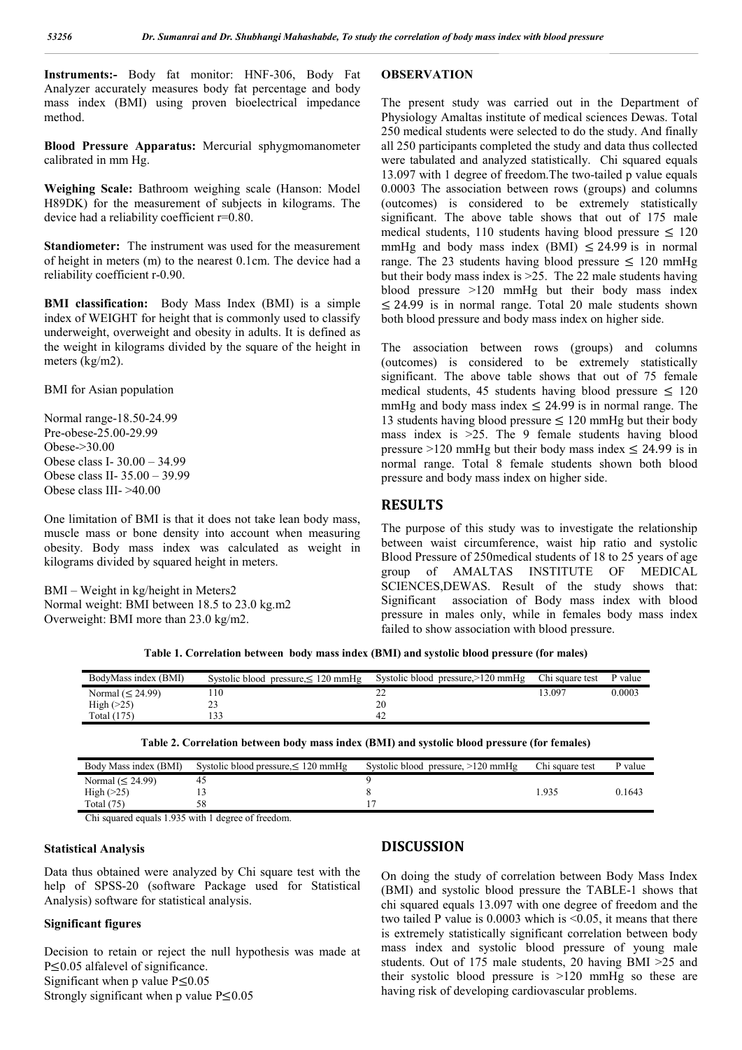**Instruments:-** Body fat monitor: HNF-306, Body Fat Analyzer accurately measures body fat percentage and body mass index (BMI) using proven bioelectrical impedance method.

**Blood Pressure Apparatus:** Mercurial sphygmomanometer calibrated in mm Hg.

**Weighing Scale:** Bathroom weighing scale (Hanson: Model H89DK) for the measurement of subjects in kilograms. The device had a reliability coefficient r=0.80.

**Standiometer:** The instrument was used for the measurement of height in meters (m) to the nearest 0.1cm. The device had a reliability coefficient r-0.90.

**BMI classification:** Body Mass Index (BMI) is a simple index of WEIGHT for height that is commonly used to classify underweight, overweight and obesity in adults. It is defined as the weight in kilograms divided by the square of the height in meters (kg/m2).

BMI for Asian population

Normal range-18.50-24.99 Pre-obese-25.00-29.99 Obese->30.00 Obese class I- 30.00 – 34.99 Obese class II- 35.00 – 39.99 Obese class III- >40.00

One limitation of BMI is that it does not take lean body mass, muscle mass or bone density into account when measuring obesity. Body mass index was calculated as weight in kilograms divided by squared height in meters.

BMI – Weight in kg/height in Meters2 Normal weight: BMI between 18.5 to 23.0 kg.m2 Overweight: BMI more than 23.0 kg/m2.

### **OBSERVATION**

The present study was carried out in the Department of Physiology Amaltas institute of medical sciences Dewas. Total 250 medical students were selected to do the study. And finally all 250 participants completed the study and data thus collected were tabulated and analyzed statistically. Chi squared equals 13.097 with 1 degree of freedom.The two-tailed p value equals 0.0003 The association between rows (groups) and columns (outcomes) is considered to be extremely statistically significant. The above table shows that out of 175 male medical students, 110 students having blood pressure  $\leq 120$ mmHg and body mass index (BMI)  $\leq$  24.99 is in normal range. The 23 students having blood pressure  $\leq 120$  mmHg but their body mass index is >25. The 22 male students having blood pressure >120 mmHg but their body mass index ≤ 24.99 is in normal range. Total 20 male students shown both blood pressure and body mass index on higher side.

The association between rows (groups) and columns (outcomes) is considered to be extremely statistically significant. The above table shows that out of 75 female medical students, 45 students having blood pressure  $\leq 120$ mmHg and body mass index  $\leq$  24.99 is in normal range. The 13 students having blood pressure  $\leq 120$  mmHg but their body mass index is >25. The 9 female students having blood pressure >120 mmHg but their body mass index  $\leq$  24.99 is in normal range. Total 8 female students shown both blood pressure and body mass index on higher side.

#### **RESULTS**

The purpose of this study was to investigate the relationship between waist circumference, waist hip ratio and systolic Blood Pressure of 250medical students of 18 to 25 years of age group of AMALTAS INSTITUTE OF MEDICAL SCIENCES,DEWAS. Result of the study shows that: Significant association of Body mass index with blood pressure in males only, while in females body mass index failed to show association with blood pressure.

| Table 1. Correlation between body mass index (BMI) and systolic blood pressure (for males) |  |  |
|--------------------------------------------------------------------------------------------|--|--|
|                                                                                            |  |  |

| BodyMass index (BMI)  | Systolic blood pressure, $\leq 120$ mmHg | Systolic blood pressure, >120 mmHg | Chi square test | P value |
|-----------------------|------------------------------------------|------------------------------------|-----------------|---------|
| Normal $(\leq 24.99)$ |                                          |                                    | 13.097          | 0.0003  |
| High $(>25)$          |                                          |                                    |                 |         |
| Total (175)           |                                          |                                    |                 |         |

|  | Table 2. Correlation between body mass index (BMI) and systolic blood pressure (for females) |
|--|----------------------------------------------------------------------------------------------|
|--|----------------------------------------------------------------------------------------------|

| Body Mass index (BMI) | Systolic blood pressure, $\leq 120$ mmHg | Systolic blood pressure, $>120$ mmHg | Chi square test | P value |
|-----------------------|------------------------------------------|--------------------------------------|-----------------|---------|
| Normal $(\leq 24.99)$ |                                          |                                      |                 |         |
| High $(25)$           |                                          |                                      | $-935$          | 0.1643  |
| Total $(75)$          |                                          |                                      |                 |         |

Chi squared equals 1.935 with 1 degree of freedom.

#### **Statistical Analysis**

Data thus obtained were analyzed by Chi square test with the help of SPSS-20 (software Package used for Statistical Analysis) software for statistical analysis.

#### **Significant figures**

Decision to retain or reject the null hypothesis was made at P≤0.05 alfalevel of significance. Significant when p value  $P \le 0.05$ Strongly significant when p value  $P \le 0.05$ 

#### **DISCUSSION**

On doing the study of correlation between Body Mass Index (BMI) and systolic blood pressure the TABLE-1 shows that chi squared equals 13.097 with one degree of freedom and the two tailed P value is 0.0003 which is <0.05, it means that there is extremely statistically significant correlation between body mass index and systolic blood pressure of young male students. Out of 175 male students, 20 having BMI >25 and their systolic blood pressure is >120 mmHg so these are having risk of developing cardiovascular problems.